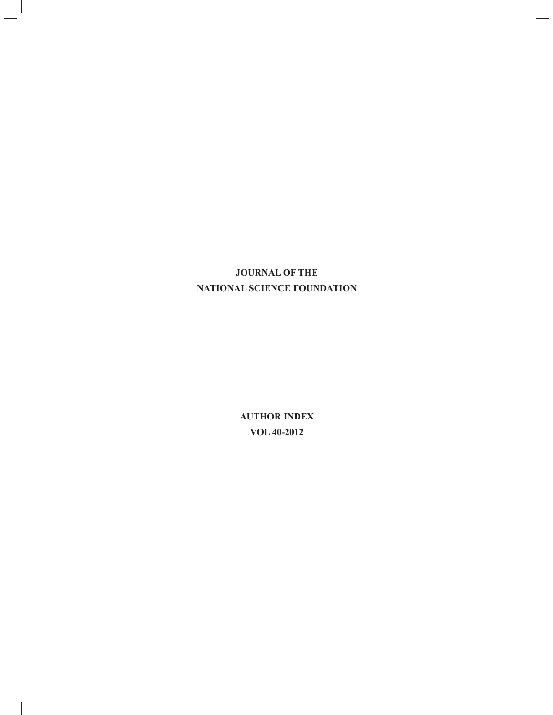## **JOURNAL OF THE NATIONAL SCIENCE FOUNDATION**

**AUTHOR INDEX VOL 40-2012**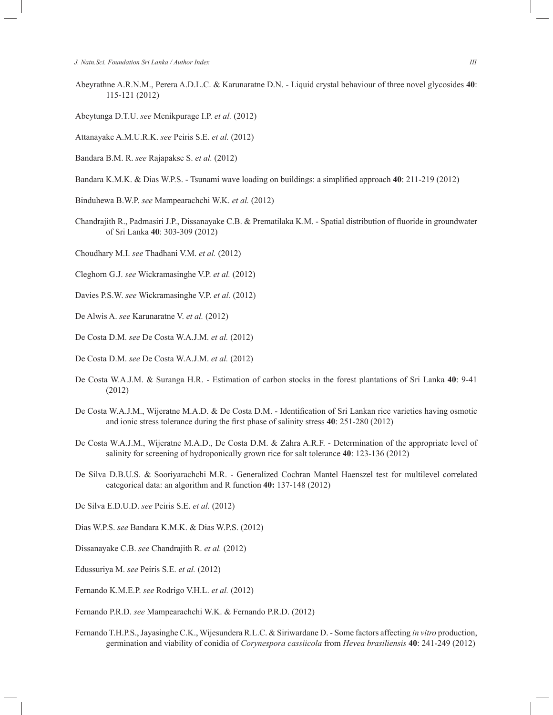- Abeyrathne A.R.N.M., Perera A.D.L.C. & Karunaratne D.N. Liquid crystal behaviour of three novel glycosides **40**: 115-121 (2012)
- Abeytunga D.T.U. *see* Menikpurage I.P. *et al.* (2012)
- Attanayake A.M.U.R.K. *see* Peiris S.E. *et al.* (2012)
- Bandara B.M. R. *see* Rajapakse S. *et al.* (2012)
- Bandara K.M.K. & Dias W.P.S. Tsunami wave loading on buildings: a simplified approach **40**: 211-219 (2012)
- Binduhewa B.W.P. *see* Mampearachchi W.K. *et al.* (2012)
- Chandrajith R., Padmasiri J.P., Dissanayake C.B. & Prematilaka K.M. Spatial distribution of fluoride in groundwater of Sri Lanka **40**: 303-309 (2012)
- Choudhary M.I. *see* Thadhani V.M. *et al.* (2012)
- Cleghorn G.J. *see* Wickramasinghe V.P. *et al.* (2012)
- Davies P.S.W. *see* Wickramasinghe V.P. *et al.* (2012)
- De Alwis A. *see* Karunaratne V. *et al.* (2012)
- De Costa D.M. *see* De Costa W.A.J.M. *et al.* (2012)
- De Costa D.M. *see* De Costa W.A.J.M. *et al.* (2012)
- De Costa W.A.J.M. & Suranga H.R. Estimation of carbon stocks in the forest plantations of Sri Lanka **40**: 9-41 (2012)
- De Costa W.A.J.M., Wijeratne M.A.D. & De Costa D.M. Identification of Sri Lankan rice varieties having osmotic and ionic stress tolerance during the first phase of salinity stress **40**: 251-280 (2012)
- De Costa W.A.J.M., Wijeratne M.A.D., De Costa D.M. & Zahra A.R.F. Determination of the appropriate level of salinity for screening of hydroponically grown rice for salt tolerance **40**: 123-136 (2012)
- De Silva D.B.U.S. & Sooriyarachchi M.R. Generalized Cochran Mantel Haenszel test for multilevel correlated categorical data: an algorithm and R function **40:** 137-148 (2012)
- De Silva E.D.U.D. *see* Peiris S.E. *et al.* (2012)
- Dias W.P.S. *see* Bandara K.M.K. & Dias W.P.S. (2012)
- Dissanayake C.B. *see* Chandrajith R. *et al.* (2012)
- Edussuriya M. *see* Peiris S.E. *et al.* (2012)
- Fernando K.M.E.P. *see* Rodrigo V.H.L. *et al.* (2012)

Fernando P.R.D. *see* Mampearachchi W.K. & Fernando P.R.D. (2012)

Fernando T.H.P.S., Jayasinghe C.K., Wijesundera R.L.C. & Siriwardane D. - Some factors affecting *in vitro* production, germination and viability of conidia of *Corynespora cassiicola* from *Hevea brasiliensis* **40**: 241-249 (2012)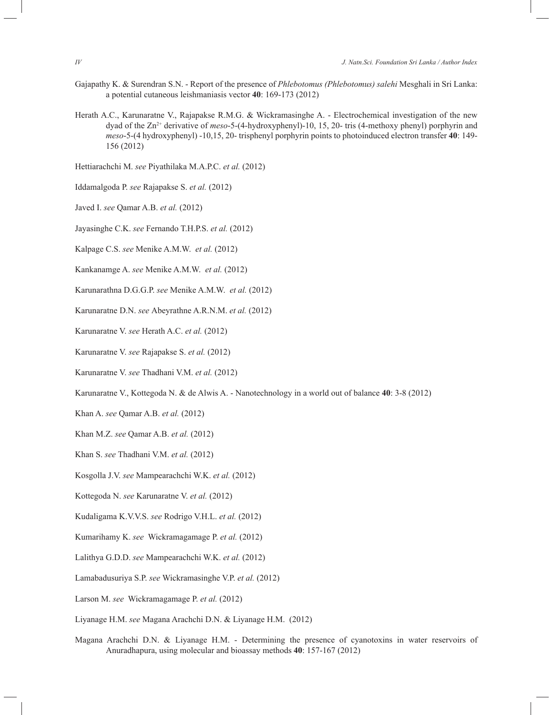- Gajapathy K. & Surendran S.N. Report of the presence of *Phlebotomus (Phlebotomus) salehi* Mesghali in Sri Lanka: a potential cutaneous leishmaniasis vector **40**: 169-173 (2012)
- Herath A.C., Karunaratne V., Rajapakse R.M.G. & Wickramasinghe A. Electrochemical investigation of the new dyad of the Zn2+ derivative of *meso*-5-(4-hydroxyphenyl)-10, 15, 20- tris (4-methoxy phenyl) porphyrin and *meso*-5-(4 hydroxyphenyl) -10,15, 20- trisphenyl porphyrin points to photoinduced electron transfer **40**: 149- 156 (2012)

Hettiarachchi M. *see* Piyathilaka M.A.P.C. *et al.* (2012)

- Iddamalgoda P. *see* Rajapakse S. *et al.* (2012)
- Javed I. *see* Qamar A.B. *et al.* (2012)
- Jayasinghe C.K. *see* Fernando T.H.P.S. *et al.* (2012)
- Kalpage C.S. *see* Menike A.M.W. *et al.* (2012)
- Kankanamge A. *see* Menike A.M.W. *et al.* (2012)
- Karunarathna D.G.G.P. *see* Menike A.M.W. *et al.* (2012)
- Karunaratne D.N. *see* Abeyrathne A.R.N.M. *et al.* (2012)
- Karunaratne V. *see* Herath A.C. *et al.* (2012)
- Karunaratne V. *see* Rajapakse S. *et al.* (2012)
- Karunaratne V. *see* Thadhani V.M. *et al.* (2012)
- Karunaratne V., Kottegoda N. & de Alwis A. Nanotechnology in a world out of balance **40**: 3-8 (2012)
- Khan A. *see* Qamar A.B. *et al.* (2012)
- Khan M.Z. *see* Qamar A.B. *et al.* (2012)
- Khan S. *see* Thadhani V.M. *et al.* (2012)
- Kosgolla J.V. *see* Mampearachchi W.K. *et al.* (2012)
- Kottegoda N. *see* Karunaratne V. *et al.* (2012)
- Kudaligama K.V.V.S. *see* Rodrigo V.H.L. *et al.* (2012)
- Kumarihamy K. *see* Wickramagamage P. *et al.* (2012)
- Lalithya G.D.D. *see* Mampearachchi W.K. *et al.* (2012)
- Lamabadusuriya S.P. *see* Wickramasinghe V.P. *et al.* (2012)
- Larson M. *see* Wickramagamage P. *et al.* (2012)
- Liyanage H.M. *see* Magana Arachchi D.N. & Liyanage H.M. (2012)
- Magana Arachchi D.N. & Liyanage H.M. Determining the presence of cyanotoxins in water reservoirs of Anuradhapura, using molecular and bioassay methods **40**: 157-167 (2012)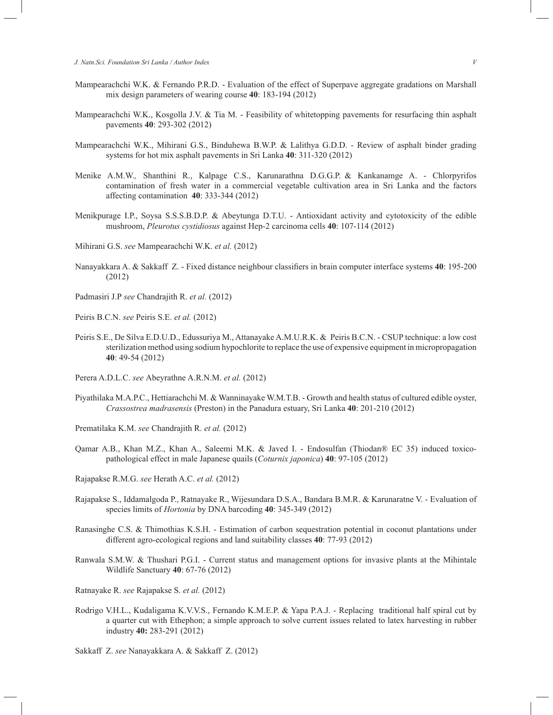- Mampearachchi W.K. & Fernando P.R.D. Evaluation of the effect of Superpave aggregate gradations on Marshall mix design parameters of wearing course **40**: 183-194 (2012)
- Mampearachchi W.K., Kosgolla J.V. & Tia M. Feasibility of whitetopping pavements for resurfacing thin asphalt pavements **40**: 293-302 (2012)
- Mampearachchi W.K., Mihirani G.S., Binduhewa B.W.P. & Lalithya G.D.D. Review of asphalt binder grading systems for hot mix asphalt pavements in Sri Lanka **40**: 311-320 (2012)
- Menike A.M.W.*,* Shanthini R., Kalpage C.S., Karunarathna D.G.G.P. & Kankanamge A. Chlorpyrifos contamination of fresh water in a commercial vegetable cultivation area in Sri Lanka and the factors affecting contamination **40**: 333-344 (2012)
- Menikpurage I.P., Soysa S.S.S.B.D.P. & Abeytunga D.T.U. Antioxidant activity and cytotoxicity of the edible mushroom, *Pleurotus cystidiosus* against Hep-2 carcinoma cells **40**: 107-114 (2012)
- Mihirani G.S. *see* Mampearachchi W.K. *et al.* (2012)
- Nanayakkara A. & Sakkaff Z. Fixed distance neighbour classifiers in brain computer interface systems **40**: 195-200 (2012)
- Padmasiri J.P *see* Chandrajith R. *et al.* (2012)
- Peiris B.C.N. *see* Peiris S.E. *et al.* (2012)
- Peiris S.E., De Silva E.D.U.D., Edussuriya M., Attanayake A.M.U.R.K. & Peiris B.C.N. CSUP technique: a low cost sterilization method using sodium hypochlorite to replace the use of expensive equipment in micropropagation **40**: 49-54 (2012)
- Perera A.D.L.C. *see* Abeyrathne A.R.N.M. *et al.* (2012)
- Piyathilaka M.A.P.C., Hettiarachchi M. & Wanninayake W.M.T.B. Growth and health status of cultured edible oyster, *Crassostrea madrasensis* (Preston) in the Panadura estuary, Sri Lanka **40**: 201-210 (2012)
- Prematilaka K.M. *see* Chandrajith R. *et al.* (2012)
- Qamar A.B., Khan M.Z., Khan A., Saleemi M.K. & Javed I. Endosulfan (Thiodan® EC 35) induced toxicopathological effect in male Japanese quails (*Coturnix japonica*) **40**: 97-105 (2012)
- Rajapakse R.M.G. *see* Herath A.C. *et al.* (2012)
- Rajapakse S., Iddamalgoda P., Ratnayake R., Wijesundara D.S.A., Bandara B.M.R. & Karunaratne V. Evaluation of species limits of *Hortonia* by DNA barcoding **40**: 345-349 (2012)
- Ranasinghe C.S. & Thimothias K.S.H. Estimation of carbon sequestration potential in coconut plantations under different agro-ecological regions and land suitability classes **40**: 77-93 (2012)
- Ranwala S.M.W. & Thushari P.G.I. Current status and management options for invasive plants at the Mihintale Wildlife Sanctuary **40**: 67-76 (2012)
- Ratnayake R. *see* Rajapakse S. *et al.* (2012)
- Rodrigo V.H.L., Kudaligama K.V.V.S., Fernando K.M.E.P. & Yapa P.A.J. Replacing traditional half spiral cut by a quarter cut with Ethephon; a simple approach to solve current issues related to latex harvesting in rubber industry **40:** 283-291 (2012)
- Sakkaff Z. *see* Nanayakkara A. & Sakkaff Z. (2012)